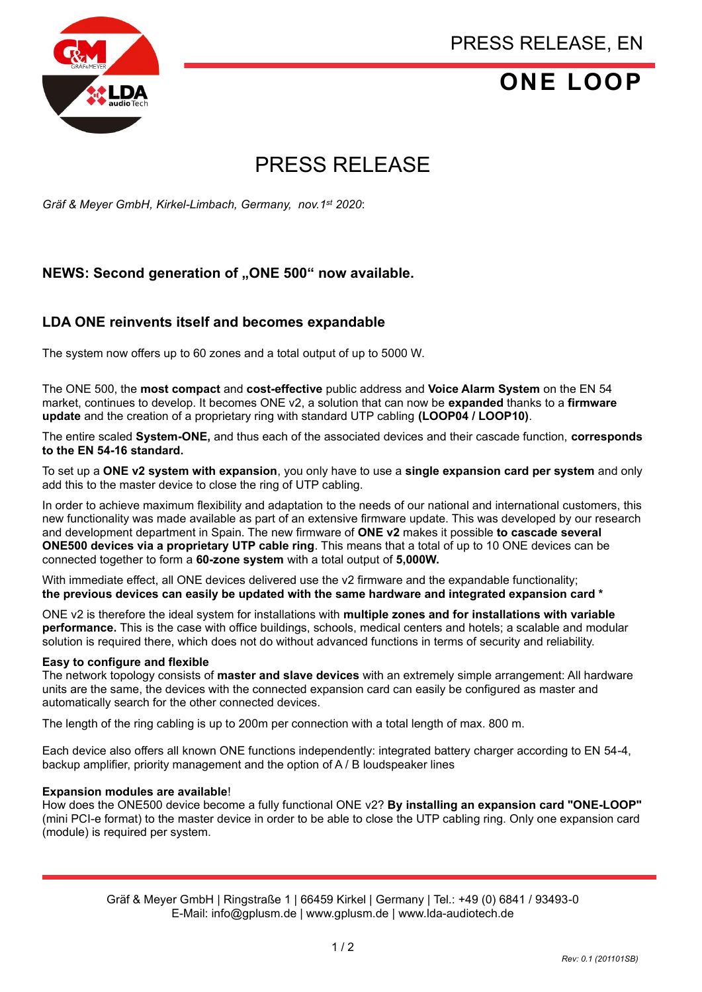# **ONE LOOP**



## PRESS RELEASE

*Gräf & Meyer GmbH, Kirkel-Limbach, Germany, nov.1st 2020*:

### **NEWS: Second generation of "ONE 500" now available.**

### **LDA ONE reinvents itself and becomes expandable**

The system now offers up to 60 zones and a total output of up to 5000 W.

The ONE 500, the **most compact** and **cost-effective** public address and **Voice Alarm System** on the EN 54 market, continues to develop. It becomes ONE v2, a solution that can now be **expanded** thanks to a **firmware update** and the creation of a proprietary ring with standard UTP cabling **(LOOP04 / LOOP10)**.

The entire scaled **System-ONE,** and thus each of the associated devices and their cascade function, **corresponds to the EN 54-16 standard.**

To set up a **ONE v2 system with expansion**, you only have to use a **single expansion card per system** and only add this to the master device to close the ring of UTP cabling.

In order to achieve maximum flexibility and adaptation to the needs of our national and international customers, this new functionality was made available as part of an extensive firmware update. This was developed by our research and development department in Spain. The new firmware of **ONE v2** makes it possible **to cascade several ONE500 devices via a proprietary UTP cable ring**. This means that a total of up to 10 ONE devices can be connected together to form a **60-zone system** with a total output of **5,000W.**

With immediate effect, all ONE devices delivered use the v2 firmware and the expandable functionality; **the previous devices can easily be updated with the same hardware and integrated expansion card \***

ONE v2 is therefore the ideal system for installations with **multiple zones and for installations with variable performance.** This is the case with office buildings, schools, medical centers and hotels; a scalable and modular solution is required there, which does not do without advanced functions in terms of security and reliability.

#### **Easy to configure and flexible**

The network topology consists of **master and slave devices** with an extremely simple arrangement: All hardware units are the same, the devices with the connected expansion card can easily be configured as master and automatically search for the other connected devices.

The length of the ring cabling is up to 200m per connection with a total length of max. 800 m.

Each device also offers all known ONE functions independently: integrated battery charger according to EN 54-4, backup amplifier, priority management and the option of A / B loudspeaker lines

#### **Expansion modules are available**!

How does the ONE500 device become a fully functional ONE v2? **By installing an expansion card "ONE-LOOP"**  (mini PCI-e format) to the master device in order to be able to close the UTP cabling ring. Only one expansion card (module) is required per system.